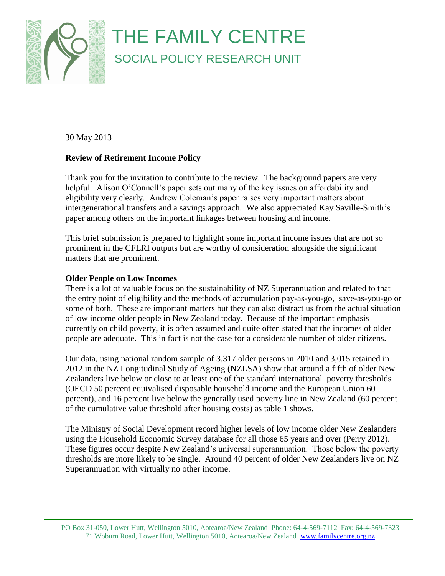

30 May 2013

# **Review of Retirement Income Policy**

Thank you for the invitation to contribute to the review. The background papers are very helpful. Alison O'Connell's paper sets out many of the key issues on affordability and eligibility very clearly. Andrew Coleman's paper raises very important matters about intergenerational transfers and a savings approach. We also appreciated Kay Saville-Smith's paper among others on the important linkages between housing and income.

This brief submission is prepared to highlight some important income issues that are not so prominent in the CFLRI outputs but are worthy of consideration alongside the significant matters that are prominent.

## **Older People on Low Incomes**

There is a lot of valuable focus on the sustainability of NZ Superannuation and related to that the entry point of eligibility and the methods of accumulation pay-as-you-go, save-as-you-go or some of both. These are important matters but they can also distract us from the actual situation of low income older people in New Zealand today. Because of the important emphasis currently on child poverty, it is often assumed and quite often stated that the incomes of older people are adequate. This in fact is not the case for a considerable number of older citizens.

Our data, using national random sample of 3,317 older persons in 2010 and 3,015 retained in 2012 in the NZ Longitudinal Study of Ageing (NZLSA) show that around a fifth of older New Zealanders live below or close to at least one of the standard international poverty thresholds (OECD 50 percent equivalised disposable household income and the European Union 60 percent), and 16 percent live below the generally used poverty line in New Zealand (60 percent of the cumulative value threshold after housing costs) as table 1 shows.

The Ministry of Social Development record higher levels of low income older New Zealanders using the Household Economic Survey database for all those 65 years and over (Perry 2012). These figures occur despite New Zealand's universal superannuation. Those below the poverty thresholds are more likely to be single. Around 40 percent of older New Zealanders live on NZ Superannuation with virtually no other income.

PO Box 31-050, Lower Hutt, Wellington 5010, Aotearoa/New Zealand Phone: 64-4-569-7112 Fax: 64-4-569-7323 71 Woburn Road, Lower Hutt, Wellington 5010, Aotearoa/New Zealand www.familycentre.org.nz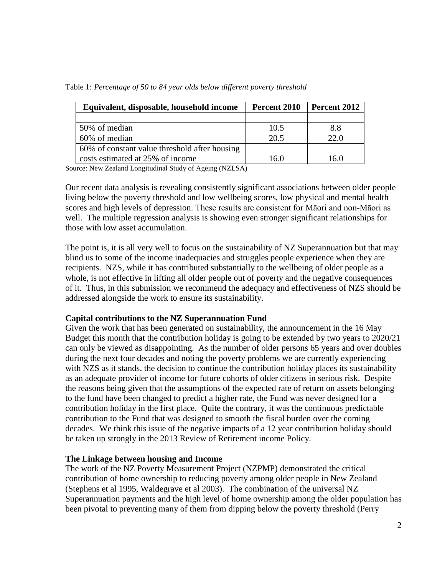| Equivalent, disposable, household income      | Percent 2010 | Percent 2012 |  |
|-----------------------------------------------|--------------|--------------|--|
|                                               |              |              |  |
| 50% of median                                 | 10.5         | 8.8          |  |
| 60% of median                                 | 20.5         | 22.0         |  |
| 60% of constant value threshold after housing |              |              |  |
| costs estimated at 25% of income              | 16.0         | 16.0         |  |

Table 1: *Percentage of 50 to 84 year olds below different poverty threshold*

Source: New Zealand Longitudinal Study of Ageing (NZLSA)

Our recent data analysis is revealing consistently significant associations between older people living below the poverty threshold and low wellbeing scores, low physical and mental health scores and high levels of depression. These results are consistent for Māori and non-Māori as well. The multiple regression analysis is showing even stronger significant relationships for those with low asset accumulation.

The point is, it is all very well to focus on the sustainability of NZ Superannuation but that may blind us to some of the income inadequacies and struggles people experience when they are recipients. NZS, while it has contributed substantially to the wellbeing of older people as a whole, is not effective in lifting all older people out of poverty and the negative consequences of it. Thus, in this submission we recommend the adequacy and effectiveness of NZS should be addressed alongside the work to ensure its sustainability.

### **Capital contributions to the NZ Superannuation Fund**

Given the work that has been generated on sustainability, the announcement in the 16 May Budget this month that the contribution holiday is going to be extended by two years to 2020/21 can only be viewed as disappointing. As the number of older persons 65 years and over doubles during the next four decades and noting the poverty problems we are currently experiencing with NZS as it stands, the decision to continue the contribution holiday places its sustainability as an adequate provider of income for future cohorts of older citizens in serious risk. Despite the reasons being given that the assumptions of the expected rate of return on assets belonging to the fund have been changed to predict a higher rate, the Fund was never designed for a contribution holiday in the first place. Quite the contrary, it was the continuous predictable contribution to the Fund that was designed to smooth the fiscal burden over the coming decades. We think this issue of the negative impacts of a 12 year contribution holiday should be taken up strongly in the 2013 Review of Retirement income Policy.

### **The Linkage between housing and Income**

The work of the NZ Poverty Measurement Project (NZPMP) demonstrated the critical contribution of home ownership to reducing poverty among older people in New Zealand (Stephens et al 1995, Waldegrave et al 2003). The combination of the universal NZ Superannuation payments and the high level of home ownership among the older population has been pivotal to preventing many of them from dipping below the poverty threshold (Perry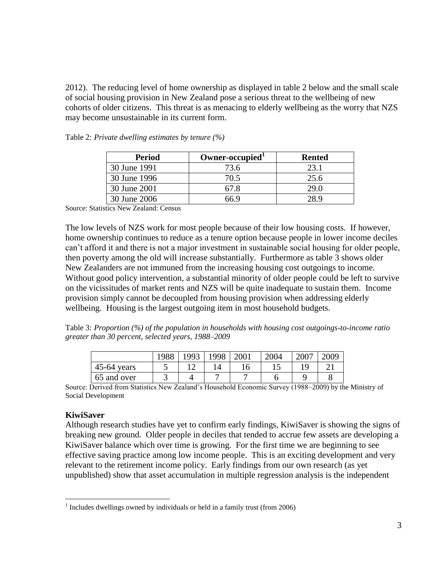2012). The reducing level of home ownership as displayed in table 2 below and the small scale of social housing provision in New Zealand pose a serious threat to the wellbeing of new cohorts of older citizens. This threat is as menacing to elderly wellbeing as the worry that NZS may become unsustainable in its current form.

| Period       | Owner-occupied <sup>1</sup> | <b>Rented</b> |  |  |
|--------------|-----------------------------|---------------|--|--|
| 30 June 1991 | 73.6                        | 23.1          |  |  |
| 30 June 1996 | 70.5                        | 25.6          |  |  |
| 30 June 2001 | 67.8                        | 29 O          |  |  |
| 30 June 2006 | ና6 ዓ                        | 9 Q           |  |  |

Table 2: *Private dwelling estimates by tenure (%)*

Source: Statistics New Zealand: Census

The low levels of NZS work for most people because of their low housing costs. If however, home ownership continues to reduce as a tenure option because people in lower income deciles can't afford it and there is not a major investment in sustainable social housing for older people, then poverty among the old will increase substantially. Furthermore as table 3 shows older New Zealanders are not immuned from the increasing housing cost outgoings to income. Without good policy intervention, a substantial minority of older people could be left to survive on the vicissitudes of market rents and NZS will be quite inadequate to sustain them. Income provision simply cannot be decoupled from housing provision when addressing elderly wellbeing. Housing is the largest outgoing item in most household budgets.

Table 3: *Proportion (%) of the population in households with housing cost outgoings-to-income ratio greater than 30 percent, selected years, 1988–2009*

|               | 1988 | 1003          | .998 | 2001 | 2004 | 2007 | 2009   |
|---------------|------|---------------|------|------|------|------|--------|
| $45-64$ years | ັ    | $\sim$<br>. . |      | 16   | ⊥ື   |      | $\sim$ |
| 65 and over   | ັ    |               |      |      |      |      |        |

Source: Derived from Statistics New Zealand's Household Economic Survey (1988–2009) by the Ministry of Social Development

### **KiwiSaver**

 $\overline{a}$ 

Although research studies have yet to confirm early findings, KiwiSaver is showing the signs of breaking new ground. Older people in deciles that tended to accrue few assets are developing a KiwiSaver balance which over time is growing. For the first time we are beginning to see effective saving practice among low income people. This is an exciting development and very relevant to the retirement income policy. Early findings from our own research (as yet unpublished) show that asset accumulation in multiple regression analysis is the independent

<sup>&</sup>lt;sup>1</sup> Includes dwellings owned by individuals or held in a family trust (from 2006)